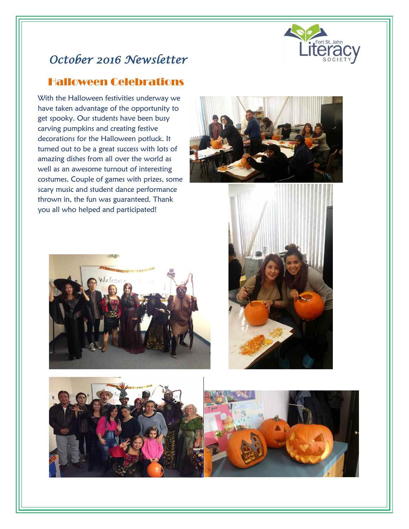

# *October 2016 Newsletter*

### Halloween Celebrations

 costumes. Couple of games with prizes, some With the Halloween festivities underway we have taken advantage of the opportunity to get spooky. Our students have been busy carving pumpkins and creating festive decorations for the Halloween potluck. It turned out to be a great success with lots of amazing dishes from all over the world as well as an awesome turnout of interesting scary music and student dance performance thrown in, the fun was guaranteed. Thank you all who helped and participated!